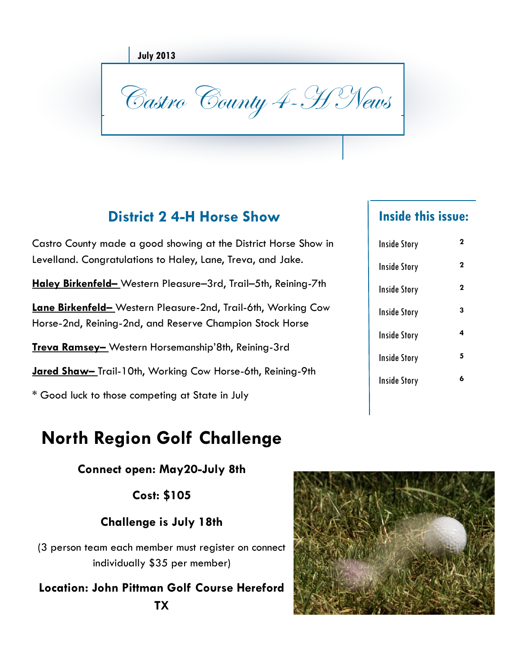**July 2013**

Castro County 4-H News

### **District 2 4-H Horse Show**

| Castro County made a good showing at the District Horse Show in<br>Levelland. Congratulations to Haley, Lane, Treva, and Jake. |
|--------------------------------------------------------------------------------------------------------------------------------|
| Haley Birkenfeld- Western Pleasure-3rd, Trail-5th, Reining-7th                                                                 |
| Lane Birkenfeld- Western Pleasure-2nd, Trail-6th, Working Cow<br>Horse-2nd, Reining-2nd, and Reserve Champion Stock Horse      |
| Treva Ramsey- Western Horsemanship'8th, Reining-3rd                                                                            |
| Jared Shaw-Trail-10th, Working Cow Horse-6th, Reining-9th                                                                      |
| * Good luck to those competing at State in July                                                                                |

# **North Region Golf Challenge**

**Connect open: May20-July 8th**

**Cost: \$105**

**Challenge is July 18th**

(3 person team each member must register on connect individually \$35 per member)

**Location: John Pittman Golf Course Hereford TX**



#### **Inside this issue:**

| <b>Inside Story</b> | 2 |
|---------------------|---|
| <b>Inside Story</b> | 2 |
| <b>Inside Story</b> | 2 |
| <b>Inside Story</b> | 3 |
| <b>Inside Story</b> | 4 |
| <b>Inside Story</b> | 5 |
| <b>Inside Story</b> | 6 |
|                     |   |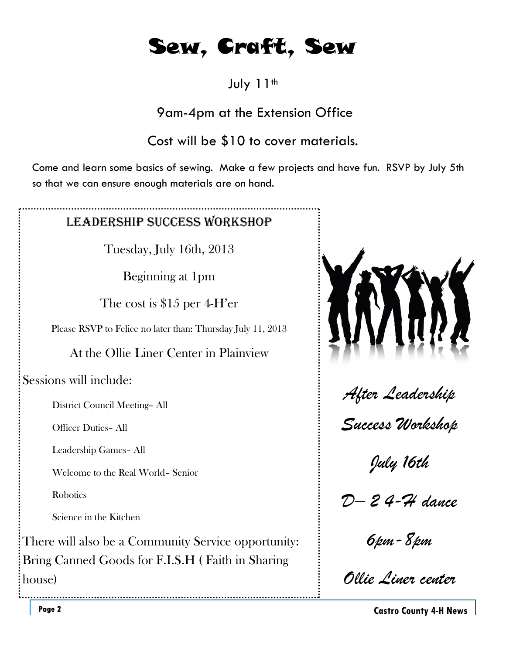# Sew, Craft, Sew

#### July 11th

9am-4pm at the Extension Office

Cost will be \$10 to cover materials.

Come and learn some basics of sewing. Make a few projects and have fun. RSVP by July 5th so that we can ensure enough materials are on hand.

#### Leadership Success Workshop

Tuesday, July 16th, 2013

Beginning at 1pm

The cost is \$15 per 4-H'er

Please RSVP to Felice no later than: Thursday July 11, 2013

At the Ollie Liner Center in Plainview

Sessions will include:

District Council Meeting– All

Officer Duties– All

Leadership Games– All

Welcome to the Real World– Senior

**Robotics** 

Science in the Kitchen

There will also be a Community Service opportunity: Bring Canned Goods for F.I.S.H ( Faith in Sharing house)



*6pm-8pm* 

*Ollie Liner center*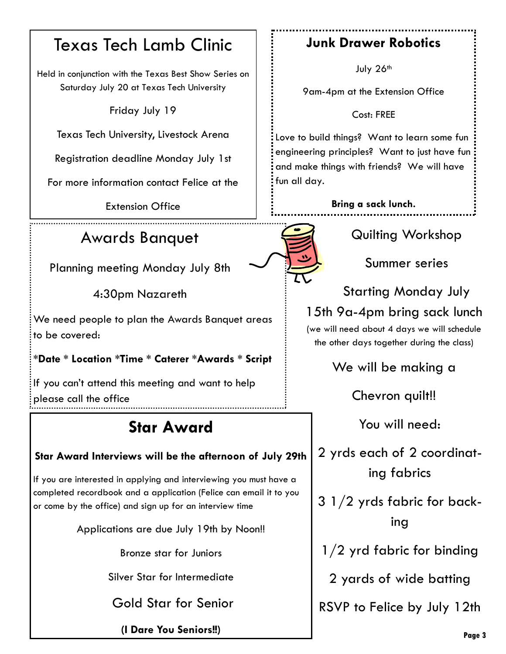# Texas Tech Lamb Clinic

Held in conjunction with the Texas Best Show Series on Saturday July 20 at Texas Tech University

Friday July 19

Texas Tech University, Livestock Arena

Registration deadline Monday July 1st

For more information contact Felice at the

Extension Office

# Awards Banquet

Planning meeting Monday July 8th

4:30pm Nazareth

We need people to plan the Awards Banquet areas to be covered:

**\*Date \* Location \*Time \* Caterer \*Awards \* Script**

If you can't attend this meeting and want to help please call the office

# **Star Award**

#### **Star Award Interviews will be the afternoon of July 29th**

If you are interested in applying and interviewing you must have a completed recordbook and a application (Felice can email it to you or come by the office) and sign up for an interview time

Applications are due July 19th by Noon!!

Bronze star for Juniors

Silver Star for Intermediate

Gold Star for Senior

**(I Dare You Seniors!!)**

#### **Junk Drawer Robotics**

July 26<sup>th</sup>

9am-4pm at the Extension Office

Cost: FREE

Love to build things? Want to learn some fun engineering principles? Want to just have fun and make things with friends? We will have fun all day.

**Bring a sack lunch.** 

Quilting Workshop

Summer series



## 15th 9a-4pm bring sack lunch

(we will need about 4 days we will schedule the other days together during the class)

We will be making a

Chevron quilt!!

You will need:

2 yrds each of 2 coordinating fabrics

3 1/2 yrds fabric for backing

1/2 yrd fabric for binding

2 yards of wide batting

RSVP to Felice by July 12th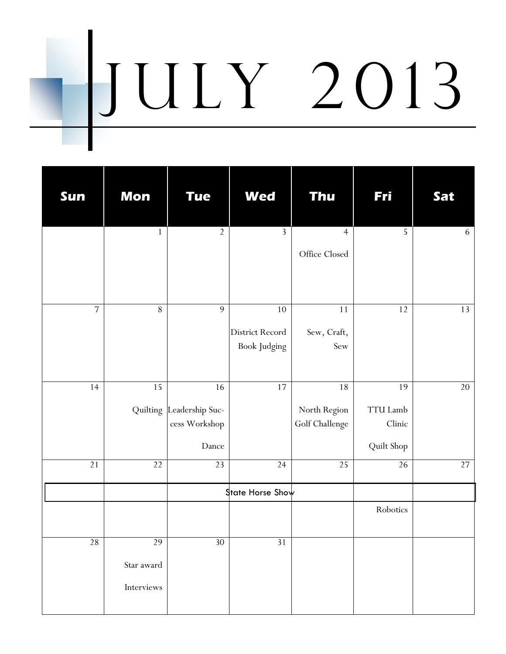# July 2013

| Sun            | <b>Mon</b>                     | <b>Tue</b>                                               | <b>Wed</b>                                   | <b>Thu</b>                           | <b>Fri</b>                             | Sat    |
|----------------|--------------------------------|----------------------------------------------------------|----------------------------------------------|--------------------------------------|----------------------------------------|--------|
|                | $\mathbf{1}$                   | $\overline{2}$                                           | $\overline{3}$                               | $\overline{4}$<br>Office Closed      | $\sqrt{5}$                             | 6      |
| $\overline{7}$ | $\overline{8}$                 | 9                                                        | 10<br>District Record<br><b>Book Judging</b> | 11<br>Sew, Craft,<br>Sew             | 12                                     | 13     |
| 14             | 15                             | 16<br>Quilting Leadership Suc-<br>cess Workshop<br>Dance | 17                                           | 18<br>North Region<br>Golf Challenge | 19<br>TTU Lamb<br>Clinic<br>Quilt Shop | $20\,$ |
| $21$           | $2\sqrt{2}$                    | 23                                                       | 24                                           | 25                                   | 26                                     | 27     |
|                |                                |                                                          | <b>State Horse Show</b>                      |                                      | Robotics                               |        |
| $2\,8$         | 29<br>Star award<br>Interviews | 30                                                       | 31                                           |                                      |                                        |        |